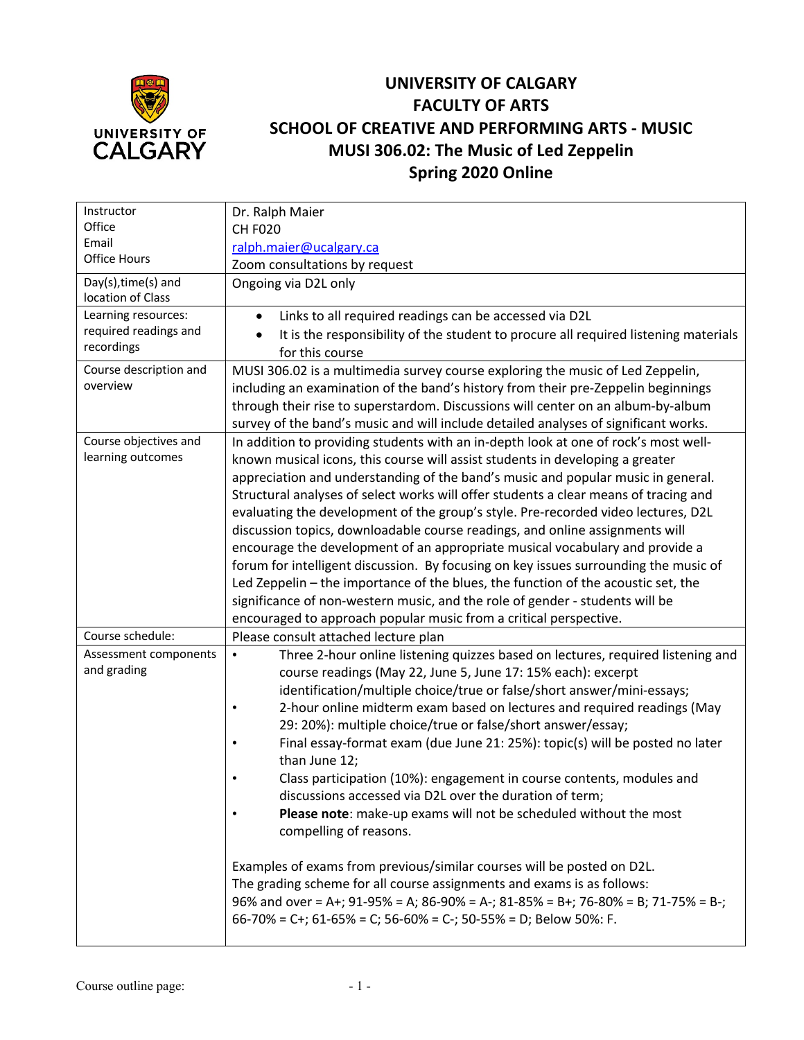

## **UNIVERSITY OF CALGARY FACULTY OF ARTS SCHOOL OF CREATIVE AND PERFORMING ARTS - MUSIC MUSI 306.02: The Music of Led Zeppelin Spring 2020 Online**

| Instructor                                   | Dr. Ralph Maier                                                                                                                                                      |  |  |  |
|----------------------------------------------|----------------------------------------------------------------------------------------------------------------------------------------------------------------------|--|--|--|
| Office                                       | <b>CH F020</b>                                                                                                                                                       |  |  |  |
| Email                                        | ralph.maier@ucalgary.ca                                                                                                                                              |  |  |  |
| Office Hours                                 | Zoom consultations by request                                                                                                                                        |  |  |  |
| Day(s), time(s) and                          | Ongoing via D2L only                                                                                                                                                 |  |  |  |
| location of Class                            |                                                                                                                                                                      |  |  |  |
| Learning resources:<br>required readings and | Links to all required readings can be accessed via D2L<br>$\bullet$                                                                                                  |  |  |  |
| recordings                                   | It is the responsibility of the student to procure all required listening materials                                                                                  |  |  |  |
|                                              | for this course                                                                                                                                                      |  |  |  |
| Course description and<br>overview           | MUSI 306.02 is a multimedia survey course exploring the music of Led Zeppelin,                                                                                       |  |  |  |
|                                              | including an examination of the band's history from their pre-Zeppelin beginnings                                                                                    |  |  |  |
|                                              | through their rise to superstardom. Discussions will center on an album-by-album                                                                                     |  |  |  |
| Course objectives and                        | survey of the band's music and will include detailed analyses of significant works.                                                                                  |  |  |  |
| learning outcomes                            | In addition to providing students with an in-depth look at one of rock's most well-<br>known musical icons, this course will assist students in developing a greater |  |  |  |
|                                              | appreciation and understanding of the band's music and popular music in general.                                                                                     |  |  |  |
|                                              | Structural analyses of select works will offer students a clear means of tracing and                                                                                 |  |  |  |
|                                              | evaluating the development of the group's style. Pre-recorded video lectures, D2L                                                                                    |  |  |  |
|                                              | discussion topics, downloadable course readings, and online assignments will                                                                                         |  |  |  |
|                                              | encourage the development of an appropriate musical vocabulary and provide a                                                                                         |  |  |  |
|                                              | forum for intelligent discussion. By focusing on key issues surrounding the music of                                                                                 |  |  |  |
|                                              | Led Zeppelin - the importance of the blues, the function of the acoustic set, the                                                                                    |  |  |  |
|                                              | significance of non-western music, and the role of gender - students will be                                                                                         |  |  |  |
|                                              | encouraged to approach popular music from a critical perspective.                                                                                                    |  |  |  |
| Course schedule:                             | Please consult attached lecture plan                                                                                                                                 |  |  |  |
| Assessment components                        | Three 2-hour online listening quizzes based on lectures, required listening and<br>$\bullet$                                                                         |  |  |  |
| and grading                                  | course readings (May 22, June 5, June 17: 15% each): excerpt                                                                                                         |  |  |  |
|                                              | identification/multiple choice/true or false/short answer/mini-essays;                                                                                               |  |  |  |
|                                              | 2-hour online midterm exam based on lectures and required readings (May                                                                                              |  |  |  |
|                                              | 29: 20%): multiple choice/true or false/short answer/essay;                                                                                                          |  |  |  |
|                                              | Final essay-format exam (due June 21: 25%): topic(s) will be posted no later                                                                                         |  |  |  |
|                                              | than June 12;                                                                                                                                                        |  |  |  |
|                                              | Class participation (10%): engagement in course contents, modules and                                                                                                |  |  |  |
|                                              | discussions accessed via D2L over the duration of term;                                                                                                              |  |  |  |
|                                              | Please note: make-up exams will not be scheduled without the most                                                                                                    |  |  |  |
|                                              | compelling of reasons.                                                                                                                                               |  |  |  |
|                                              |                                                                                                                                                                      |  |  |  |
|                                              | Examples of exams from previous/similar courses will be posted on D2L.                                                                                               |  |  |  |
|                                              | The grading scheme for all course assignments and exams is as follows:                                                                                               |  |  |  |
|                                              | 96% and over = A+; 91-95% = A; 86-90% = A-; 81-85% = B+; 76-80% = B; 71-75% = B-;                                                                                    |  |  |  |
|                                              | 66-70% = C+; 61-65% = C; 56-60% = C-; 50-55% = D; Below 50%: F.                                                                                                      |  |  |  |
|                                              |                                                                                                                                                                      |  |  |  |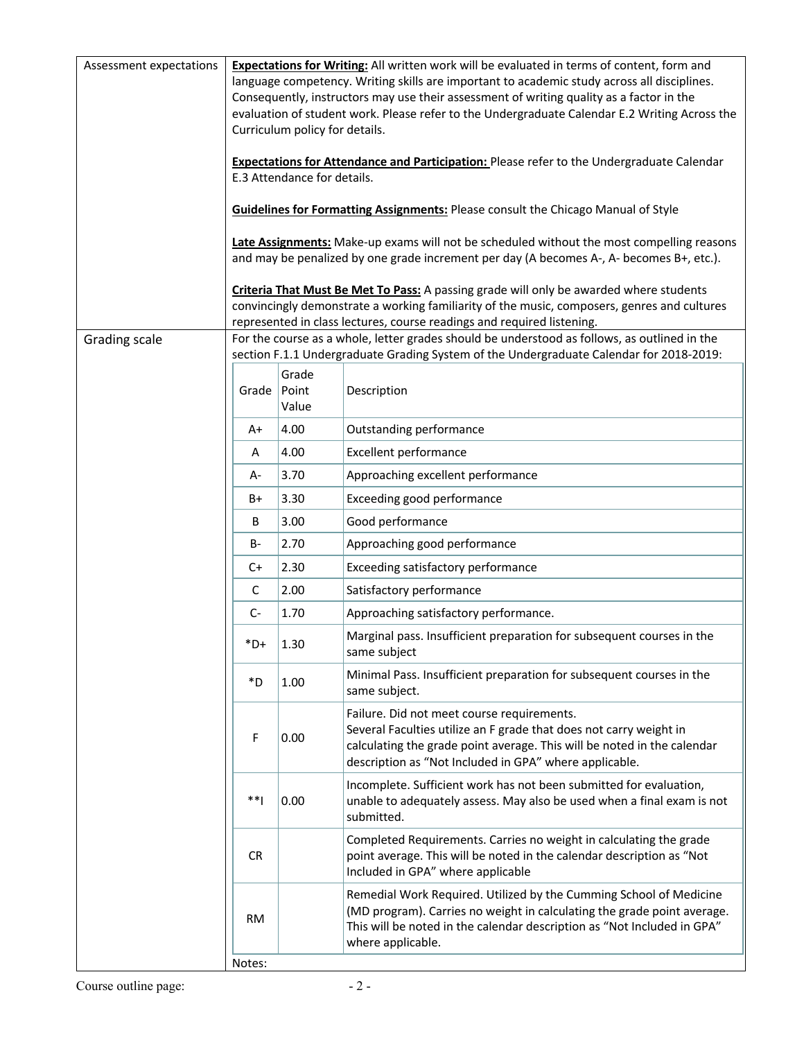| Assessment expectations | Expectations for Writing: All written work will be evaluated in terms of content, form and<br>language competency. Writing skills are important to academic study across all disciplines.<br>Consequently, instructors may use their assessment of writing quality as a factor in the<br>evaluation of student work. Please refer to the Undergraduate Calendar E.2 Writing Across the<br>Curriculum policy for details.<br><b>Expectations for Attendance and Participation:</b> Please refer to the Undergraduate Calendar<br>E.3 Attendance for details. |                         |                                                                                                                                                                                                                                                       |  |  |
|-------------------------|-------------------------------------------------------------------------------------------------------------------------------------------------------------------------------------------------------------------------------------------------------------------------------------------------------------------------------------------------------------------------------------------------------------------------------------------------------------------------------------------------------------------------------------------------------------|-------------------------|-------------------------------------------------------------------------------------------------------------------------------------------------------------------------------------------------------------------------------------------------------|--|--|
|                         | <b>Guidelines for Formatting Assignments: Please consult the Chicago Manual of Style</b><br>Late Assignments: Make-up exams will not be scheduled without the most compelling reasons                                                                                                                                                                                                                                                                                                                                                                       |                         |                                                                                                                                                                                                                                                       |  |  |
|                         | and may be penalized by one grade increment per day (A becomes A-, A- becomes B+, etc.).<br>Criteria That Must Be Met To Pass: A passing grade will only be awarded where students<br>convincingly demonstrate a working familiarity of the music, composers, genres and cultures<br>represented in class lectures, course readings and required listening.                                                                                                                                                                                                 |                         |                                                                                                                                                                                                                                                       |  |  |
| Grading scale           |                                                                                                                                                                                                                                                                                                                                                                                                                                                                                                                                                             |                         | For the course as a whole, letter grades should be understood as follows, as outlined in the                                                                                                                                                          |  |  |
|                         |                                                                                                                                                                                                                                                                                                                                                                                                                                                                                                                                                             |                         | section F.1.1 Undergraduate Grading System of the Undergraduate Calendar for 2018-2019:                                                                                                                                                               |  |  |
|                         | Grade                                                                                                                                                                                                                                                                                                                                                                                                                                                                                                                                                       | Grade<br>Point<br>Value | Description                                                                                                                                                                                                                                           |  |  |
|                         | A+                                                                                                                                                                                                                                                                                                                                                                                                                                                                                                                                                          | 4.00                    | Outstanding performance                                                                                                                                                                                                                               |  |  |
|                         | A                                                                                                                                                                                                                                                                                                                                                                                                                                                                                                                                                           | 4.00                    | <b>Excellent performance</b>                                                                                                                                                                                                                          |  |  |
|                         | А-                                                                                                                                                                                                                                                                                                                                                                                                                                                                                                                                                          | 3.70                    | Approaching excellent performance                                                                                                                                                                                                                     |  |  |
|                         | B+                                                                                                                                                                                                                                                                                                                                                                                                                                                                                                                                                          | 3.30                    | Exceeding good performance                                                                                                                                                                                                                            |  |  |
|                         | В                                                                                                                                                                                                                                                                                                                                                                                                                                                                                                                                                           | 3.00                    | Good performance                                                                                                                                                                                                                                      |  |  |
|                         | <b>B-</b>                                                                                                                                                                                                                                                                                                                                                                                                                                                                                                                                                   | 2.70                    | Approaching good performance                                                                                                                                                                                                                          |  |  |
|                         | $C+$                                                                                                                                                                                                                                                                                                                                                                                                                                                                                                                                                        | 2.30                    | Exceeding satisfactory performance                                                                                                                                                                                                                    |  |  |
|                         | C                                                                                                                                                                                                                                                                                                                                                                                                                                                                                                                                                           | 2.00                    | Satisfactory performance                                                                                                                                                                                                                              |  |  |
|                         | $C-$                                                                                                                                                                                                                                                                                                                                                                                                                                                                                                                                                        | 1.70                    | Approaching satisfactory performance.                                                                                                                                                                                                                 |  |  |
|                         | $*D+$                                                                                                                                                                                                                                                                                                                                                                                                                                                                                                                                                       | 1.30                    | Marginal pass. Insufficient preparation for subsequent courses in the<br>same subject                                                                                                                                                                 |  |  |
|                         | *D                                                                                                                                                                                                                                                                                                                                                                                                                                                                                                                                                          | 1.00                    | Minimal Pass. Insufficient preparation for subsequent courses in the<br>same subject.                                                                                                                                                                 |  |  |
|                         | F                                                                                                                                                                                                                                                                                                                                                                                                                                                                                                                                                           | 0.00                    | Failure. Did not meet course requirements.<br>Several Faculties utilize an F grade that does not carry weight in<br>calculating the grade point average. This will be noted in the calendar<br>description as "Not Included in GPA" where applicable. |  |  |
|                         | $**1$                                                                                                                                                                                                                                                                                                                                                                                                                                                                                                                                                       | 0.00                    | Incomplete. Sufficient work has not been submitted for evaluation,<br>unable to adequately assess. May also be used when a final exam is not<br>submitted.                                                                                            |  |  |
|                         | <b>CR</b>                                                                                                                                                                                                                                                                                                                                                                                                                                                                                                                                                   |                         | Completed Requirements. Carries no weight in calculating the grade<br>point average. This will be noted in the calendar description as "Not<br>Included in GPA" where applicable                                                                      |  |  |
|                         | <b>RM</b>                                                                                                                                                                                                                                                                                                                                                                                                                                                                                                                                                   |                         | Remedial Work Required. Utilized by the Cumming School of Medicine<br>(MD program). Carries no weight in calculating the grade point average.<br>This will be noted in the calendar description as "Not Included in GPA"<br>where applicable.         |  |  |
|                         | Notes:                                                                                                                                                                                                                                                                                                                                                                                                                                                                                                                                                      |                         |                                                                                                                                                                                                                                                       |  |  |